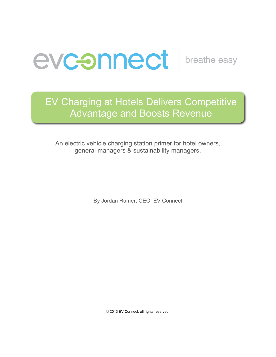

# EV Charging at Hotels Delivers Competitive Advantage and Boosts Revenue

An electric vehicle charging station primer for hotel owners, general managers & sustainability managers.

By Jordan Ramer, CEO, EV Connect

© 2013 EV Connect, all rights reserved.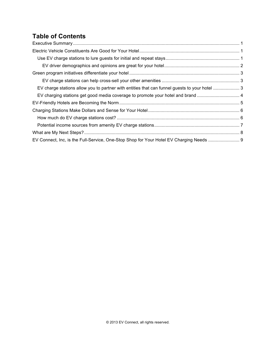# **Table of Contents**

| EV charge stations allow you to partner with entities that can funnel guests to your hotel 3<br>EV Connect, Inc, is the Full-Service, One-Stop Shop for Your Hotel EV Charging Needs  9 |  |
|-----------------------------------------------------------------------------------------------------------------------------------------------------------------------------------------|--|
|                                                                                                                                                                                         |  |
|                                                                                                                                                                                         |  |
|                                                                                                                                                                                         |  |
|                                                                                                                                                                                         |  |
|                                                                                                                                                                                         |  |
|                                                                                                                                                                                         |  |
|                                                                                                                                                                                         |  |
|                                                                                                                                                                                         |  |
|                                                                                                                                                                                         |  |
|                                                                                                                                                                                         |  |
|                                                                                                                                                                                         |  |
|                                                                                                                                                                                         |  |
|                                                                                                                                                                                         |  |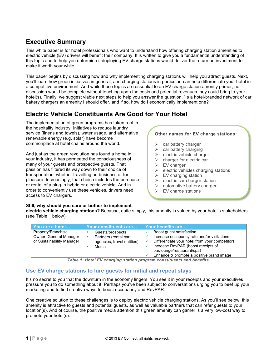# **Executive Summary**

This white paper is for hotel professionals who want to understand how offering charging station amenities to electric vehicle (EV) drivers will benefit their company. It is written to give you a fundamental understanding of this topic and to help you determine if deploying EV charge stations would deliver the return on investment to make it worth your while.

This paper begins by discussing how and why implementing charging stations will help you attract guests. Next, you'll learn how green initiatives in general, and charging stations in particular, can help differentiate your hotel in a competitive environment. And while these topics are essential to an EV charge station amenity primer, no discussion would be complete without touching upon the costs and potential revenues they could bring to your hotel(s). Finally, we suggest viable next steps to help you answer the question, "Is a hotel-branded network of car battery chargers an amenity I should offer, and if so, how do I economically implement one?"

## **Electric Vehicle Constituents Are Good for Your Hotel**

The implementation of green programs has taken root in the hospitality industry. Initiatives to reduce laundry service (linens and towels), water usage, and alternative renewable energy (e.g. solar) have become commonplace at hotel chains around the world.

And just as the green revolution has found a home in your industry, it has permeated the consciousness of many of your guests and prospective guests. That passion has filtered its way down to their choice of transportation, whether travelling on business or for pleasure. Increasingly, that choice includes the purchase or rental of a plug-in hybrid or electric vehicle. And in order to conveniently use these vehicles, drivers need access to EV chargers.

#### **Other names for EV charge stations:**

- $\triangleright$  car battery charger
- $\triangleright$  car battery charging
- $\triangleright$  electric vehicle charger
- $\triangleright$  charger for electric car
- $\triangleright$  EV charger
- $\triangleright$  electric vehicles charging stations
- $\triangleright$  EV charging station
- $\triangleright$  electric car charger station
- $\blacktriangleright$  automotive battery charger

Ø **EV car charging stations**

 $\triangleright$  EV charge stations

#### **Still, why should you care or bother to implement**

**electric vehicle charging stations?** Because, quite simply, this amenity is valued by your hotel's stakeholders (see Table 1 below).

| You are a hotel                                                           | Your constituents are                                                           | Your benefits are                                                                                                                                                                                                                        |  |  |  |
|---------------------------------------------------------------------------|---------------------------------------------------------------------------------|------------------------------------------------------------------------------------------------------------------------------------------------------------------------------------------------------------------------------------------|--|--|--|
| Property/Franchise<br>Owner, General Manager<br>or Sustainability Manager | Guests/prospects<br>Partners (rental car<br>agencies, travel entities)<br>Media | Boost quest satisfaction<br>Increase occupancy rate and/or visitations<br>Differentiate your hotel from your competitors<br>Increase RevPAR (boost receipts of<br>bar/lounge/restaurant/spa)<br>Enhance & promote a positive brand image |  |  |  |
| Table di Ilatal FV abavoing atation program constituente and banafita     |                                                                                 |                                                                                                                                                                                                                                          |  |  |  |

*Table 1: Hotel EV charging station program constituents and benefits.*

## **Use EV charge stations to lure guests for initial and repeat stays**

It's no secret to you that the downturn in the economy lingers. You see it in your receipts and your executives pressure you to do something about it. Perhaps you've been subject to conversations urging you to beef up your marketing and to find creative ways to boost occupancy and RevPAR.

One creative solution to these challenges is to deploy electric vehicle charging stations. As you'll see below, this amenity is attractive to guests and potential guests, as well as valuable partners that can refer guests to your location(s). And of course, the positive media attention this green amenity can garner is a very low-cost way to promote your hotel(s).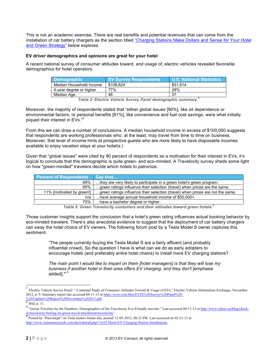This is not an academic exercise. There are real benefits and potential revenues that can come from the installation of car battery chargers as the section titled "Charging Stations Make Dollars and Sense for Your Hotel and Green Strategy" below explores.

#### **EV driver demographics and opinions are great for your hotel**

A recent national survey of consumer attitudes toward, and usage of, electric vehicles revealed favorable demographics for hotel operators.

| ∣ Demographic ˈ         | <b>EV Survey Respondents</b> | <b>U.S. National Statistics</b> |
|-------------------------|------------------------------|---------------------------------|
| Median Household Income | \$108.624                    | \$51.914                        |
| 4-year degree or higher | 77%                          | 28%                             |
| Median Age              | 46                           | 37                              |

*Table 2: Electric Vehicle Survey Panel demographic summary.***<sup>1</sup>**

Moreover, the majority of respondents stated that "either global issues [90%], like oil dependence or environmental factors, or personal benefits [81%], like convenience and fuel cost savings, were what initially piqued their interest in EVs."2

From this we can draw a number of conclusions. A median household income in excess of \$100,000 suggests that respondents are working professionals who, at the least, may travel from time to time on business. Moreover, that level of income hints at prospective guests who are more likely to have disposable incomes available to enjoy vacation stays at your hotel(s.)

Given that "global issues" were cited by 90 percent of respondents as a motivation for their interest in EVs, it's logical to conclude that this demographic is quite green- and eco-minded. A Travelocity survey sheds some light on how "green-minded" travelers decide which hotels to patronize.

| <b>Percent of Respondents</b> Say that |                                                                                |
|----------------------------------------|--------------------------------------------------------------------------------|
| 69%                                    | they are very likely to participate in a green hotel's green program.          |
| 65%                                    | green ratings influence their selection (travel) when prices are the same.     |
| 11% [motivated by green!]              | green ratings influence their selection (travel) when prices are not the same. |
| n/a                                    | have average annual household income of \$50,000+.                             |
| 75% l                                  | have a bachelor degree or higher.                                              |

*Table 3: Green Travelocity customers and their attitudes toward green hotels.*<sup>3</sup>

Those customer insights support the conclusion that a hotel's green rating influences actual booking behavior by eco-minded travelers. There's also anecdotal evidence to suggest that the deployment of car battery chargers can sway the hotel choice of EV owners. The following forum post by a Tesla Model S owner captures this sentiment:

"The people currently buying the Tesla Model S are a fairly affluent (and probably influential crowd). So the question I have is what can we do as early adopters to encourage hotels (and preferably entire hotel chains) to install more EV charging stations?

*The main point I would like to impart on them [hotel managers] is that they will lose my business if another hotel in their area offers EV charging, and they don't* [emphasis added]**."** <sup>4</sup>

 <sup>1</sup> Electric Vehicle Survey Panel: "A national Study of Consumer Attitudes Toward & Usage of EVs," Electric Vehicle Information Exchange, November 2012, p. 9. Summary report last accessed 04-11-13 at https://evix.com/files/EVIX%20Survey%20Panel%20-  $\frac{\%20\text{T}}{2}$  Ibid, p. 11.

<sup>3 &</sup>quot;Green Travelers by the Numbers, Demographics of the Travelocity Eco-Friendly traveler." Last accessed 04-11-13 at http://www.where.ca/blog/check-<br>intervelocity-the-on-green-travel/attachment/travelocity/.

Posted by "PureAmps" on Tesla motors forum site, posted: 12-05-2012, 08:32 PM. Last accessed on 03-21-13 at http://www.teslamotorsclub.com/showthread.php/11625-Hotel-EV-Charging-Station-Installations.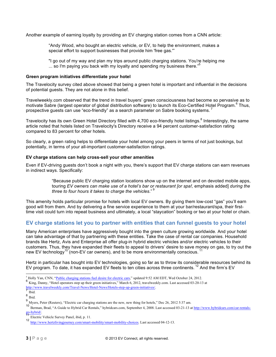Another example of earning loyalty by providing an EV charging station comes from a CNN article:

"Andy Wood, who bought an electric vehicle, or EV, to help the environment, makes a special effort to support businesses that provide him 'free gas.'"

"I go out of my way and plan my trips around public charging stations. You're helping me ... so I'm paying you back with my loyalty and spending my business there."

#### **Green program initiatives differentiate your hotel**

The Travelocity survey cited above showed that being a green hotel is important and influential in the decisions of potential guests. They are not alone in this belief.

Travelweekly.com observed that the trend in travel buyers' green consciousness had become so pervasive as to motivate Sabre (largest operator of global distribution software) to launch its Eco-Certified Hotel Program.<sup>6</sup> Thus, prospective guests can use "eco-friendly" as a search parameter on Sabre booking systems.<sup>7</sup>

Travelocity has its own Green Hotel Directory filled with 4,700 eco-friendly hotel listings.<sup>8</sup> Interestingly, the same article noted that hotels listed on Travelocity's Directory receive a 94 percent customer-satisfaction rating compared to 83 percent for other hotels.

So clearly, a green rating helps to differentiate your hotel among your peers in terms of not just bookings, but potentially, in terms of your all-important customer-satisfaction ratings.

#### **EV charge stations can help cross-sell your other amenities**

Even if EV-driving guests don't book a night with you, there's support that EV charge stations can earn revenues in indirect ways. Specifically:

> "Because public EV charging station locations show up on the internet and on devoted mobile apps, touring *EV owners can make use of a hotel's bar or restaurant [or spa!,* emphasis added] *during the three to four hours it takes to charge the vehicles*." <sup>9</sup>

This amenity holds particular promise for hotels with local EV owners. By giving them low-cost "gas" you'll earn good will from them. And by delivering a fine service experience to them at your bar/restaurant/spa, their firsttime visit could turn into repeat business and ultimately, a local "staycation" booking or two at your hotel or chain.

## **EV charge stations let you to partner with entities that can funnel guests to your hotel**

Many American enterprises have aggressively bought into the green culture growing worldwide. And your hotel can take advantage of that by partnering with these entities. Take the case of rental car companies. Household brands like Hertz, Avis and Enterprise all offer plug-in hybrid electric vehicles and/or electric vehicles to their customers. Thus, they have expanded their fleets to appeal to drivers' desire to save money on gas, to try out the new EV technology<sup>10</sup> (non-EV car owners), and to be more environmentally conscious.<sup>11</sup>

Hertz in particular has bought into EV technologies, going so far as to throw its considerable resources behind its EV program. To date, it has expanded EV fleets to ten cities across three continents. <sup>12</sup> And the firm's EV

l

 $\frac{1}{6}$  Holly Yan, CNN, "<u>Public charging stations fuel desire for electric cars</u>," updated 9:52 AM EDT, Wed October 24, 2012.<br>
King, Danny, "Hotel operators step up their green initiatives," March 6, 2012, travelweekly

 $\frac{8}{8}$  Ibid.<br> $\frac{8}{9}$  Ibid. 9 Myers, Peter (Reuters), "Electric car charging stations are the new, new thing for hotels," Dec 26, 2012 5:37 am.

<sup>&</sup>lt;sup>10</sup> Berman, Brad, "A Guide to Hybrid Car Rentals," hybridcars.com, September 4, 2008. Last accessed 03-21-13 at http://www.hybridcars.com/car-rentals-<br>go-hybrid/.<br>The table Mathematics of the contract of the contract of t

Electric Vehicle Survey Panel, ibid, p. 11.

<sup>12</sup> http://www.hertzlivingjourney.com/smart-mobility/smart-mobility-choices. Last accessed 04-12-13.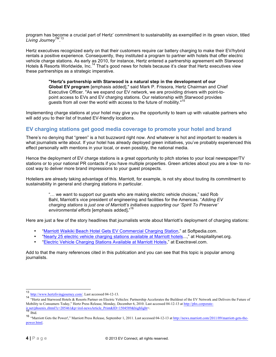program has become a crucial part of Hertz' commitment to sustainability as exemplified in its green vision, titled *Living JourneyTM*. 13

Hertz executives recognized early on that their customers require car battery charging to make their EV/hybrid rentals a positive experience. Consequently, they instituted a program to partner with hotels that offer electric vehicle charge stations. As early as 2010, for instance, Hertz entered a partnership agreement with Starwood Hotels & Resorts Worldwide, Inc.<sup>14</sup> That's good news for hotels because it's clear that Hertz executives view these partnerships as a strategic imperative.

> **"Hertz's partnership with Starwood is a natural step in the development of our Global EV program** [emphasis added]," said Mark P. Frissora, Hertz Chairman and Chief Executive Officer. "As we expand our EV network, we are providing drivers with point-topoint access to EVs and EV charging stations. Our relationship with Starwood provides guests from all over the world with access to the future of mobility."<sup>15</sup>

Implementing charge stations at your hotel may give you the opportunity to team up with valuable partners who will add you to their list of trusted EV-friendly locations.

## **EV charging stations get good media coverage to promote your hotel and brand**

There's no denying that "green" is a hot buzzword right now. And whatever is hot and important to readers is what journalists write about. If your hotel has already deployed green initiatives, you've probably experienced this effect personally with mentions in your local, or even possibly, the national media.

Hence the deployment of EV charge stations is a great opportunity to pitch stories to your local newspaper/TV stations or to your national PR contacts if you have multiple properties. Green articles about you are a low- to nocost way to deliver more brand impressions to your guest prospects.

Hoteliers are already taking advantage of this. Marriott, for example, is not shy about touting its commitment to sustainability in general and charging stations in particular.

> "… we want to support our guests who are making electric vehicle choices," said Rob Bahl, Marriott's vice president of engineering and facilities for the Americas. "*Adding EV charging stations is just one of Marriott's initiatives supporting our 'Spirit To Preserve' environmental efforts* [emphasis added]**.**" 16

Here are just a few of the story headlines that journalists wrote about Marriott's deployment of charging stations:

- "Marriott Waikiki Beach Hotel Gets EV Commercial Charging Station," at Softpedia.com.
- "Nearly 25 electric vehicle charging stations available at Marriott hotels...," at Hospitalitynet.org.
- "Electric Vehicle Charging Stations Available at Marriott Hotels," at Exectravel.com.

Add to that the many references cited in this publication and you can see that this topic is popular among journalists.

 <sup>13</sup> http://www.hertzlivingjourney.com/. Last accessed 04-12-13.

<sup>&</sup>lt;sup>14</sup> "Hertz and Starwood Hotels & Resorts Partner on Electric Vehicles: Partnership Accelerates the Buildout of the EV Network and Delivers the Future of Mobility to Consumers Today," Hertz Press Release, Monday, December 6, 2010. Last accessed 04-12-13 at http://phx.corporateir.net/phoenix.zhtml?c=205461&p=irol-newsArticle\_Print&ID=1504589&highlight=.<br>15 Ibid.

<sup>16</sup> "Marriott Gets the Power!," Marriott Press Release, September 1, 2011. Last accessed 04-12-13 at http://news.marriott.com/2011/09/marriott-gets-thepower.html.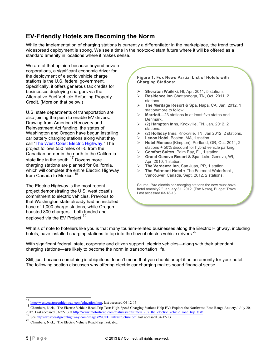# **EV-Friendly Hotels are Becoming the Norm**

While the implementation of charging stations is currently a differentiator in the marketplace, the trend toward widespread deployment is strong. We see a time in the not-too-distant future where it will be offered as a standard amenity in locations where it makes sense.

We are of that opinion because beyond private corporations, a significant economic driver for the deployment of electric vehicle charge stations is the U.S. federal government. Specifically, it offers generous tax credits for businesses deploying chargers via the Alternative Fuel Vehicle Refueling Property Credit. (More on that below.)

U.S. state departments of transportation are also joining the push to enable EV drivers. Drawing from American Recovery and Reinvestment Act funding, the states of Washington and Oregon have begun installing car battery charging stations along what they call "The West Coast Electric Highway." The project follows 550 miles of I-5 from the Canadian border in the north to the California state line in the south.<sup>17</sup> Dozens more charging stations are planned for California, which will complete the entire Electric Highway from Canada to Mexico.<sup>1</sup>

The Electric Highway is the most recent project demonstrating the U.S. west coast's commitment to electric vehicles. Previous to that Washington state already had an installed base of 1,000 charge stations, while Oregon boasted 800 chargers—both funded and deployed via the EV Project.<sup>19</sup>

#### **Figure 1: Fox News Partial List of Hotels with Charging Stations:**

- Ø **Sheraton Waikiki**, HI, Apr. 2011, 5 stations.
- Ø **Residence Inn** Chattanooga, TN, Oct. 2011, 2 stations.
- Ø **The Meritage Resort & Spa**, Napa, CA, Jan. 2012, 1 station/more to follow.
- Marriott-23 stations in at least five states and Denmark.
- Ø (2) **Hampton Inn**s, Knoxville, TN, Jan. 2012, 2 stations.
- Ø (2) **Holliday Inn**s, Knoxville, TN, Jan 2012, 2 stations.
- Ø **Lenox Hotel**, Boston, MA, 1 station.
- Hotel Monaco (Kimpton), Portland, OR, Oct. 2011. 2 stations + 50% discount for hybrid vehicle parking.
- Ø **Comfort Suites**, Palm Bay, FL, 1 station.
- Ø **Grand Geneva Resort & Spa**, Lake Geneva, WI, Apr. 2010, 1 station.
- Ø **The Verdanza Inn**, San Juan, PR, 1 station.
- Ø **The Fairmont Hotel** + The Fairmont Waterfront , Vancouver, Canada, Sept. 2012, 2 stations.

Source: "Are electric car-charging stations the new must-have hotel amenity?," January 31, 2012, (Fox News), Budget Travel. Last accessed 03-18-13.

What's of note to hoteliers like you is that many tourism-related businesses along the Electric Highway, including hotels, have installed charging stations to tap into the flow of electric vehicle drivers.<sup>20</sup>

With significant federal, state, corporate and citizen support, electric vehicles—along with their attendant charging stations—are likely to become the norm in transportation life.

Still, just because something is ubiquitous doesn't mean that you should adopt it as an amenity for your hotel. The following section discusses why offering electric car charging makes sound financial sense.

 $\frac{17}{18}$  http://westcoastgreenhighway.com/education.htm, last accessed 04-12-13.

<sup>18</sup> Chambers, Nick, "The Electric Vehicle Road-Trip Test: High-Speed Charging Stations Help EVs Explore the Northwest, Ease Range Anxiety," July 20, 2012. Last accessed 03-22-13 at http://www.motortrend.com/features/consumer/1207\_the\_electric\_vehicle\_road\_trip\_test/. 19 See http://westcoastgreenhighway.com/images/WCEH\_infrastructure.pdf. last accessed 04-12-13

<sup>20</sup> Chambers, Nick, "The Electric Vehicle Road-Trip Test, ibid.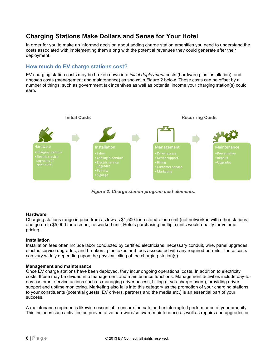## **Charging Stations Make Dollars and Sense for Your Hotel**

In order for you to make an informed decision about adding charge station amenities you need to understand the costs associated with implementing them along with the potential revenues they could generate after their deployment.

## **How much do EV charge stations cost?**

EV charging station costs may be broken down into *initial deployment* costs (hardware plus installation), and *ongoing* costs (management and maintenance) as shown in Figure 2 below. These costs can be offset by a number of things, such as government tax incentives as well as potential income your charging station(s) could earn.



*Figure 2: Charge station program cost elements.*

#### **Hardware**

Charging stations range in price from as low as \$1,500 for a stand-alone unit (not networked with other stations) and go up to \$5,000 for a smart, networked unit. Hotels purchasing multiple units would qualify for volume pricing.

#### **Installation**

Installation fees often include labor conducted by certified electricians, necessary conduit, wire, panel upgrades, electric service upgrades, and breakers, plus taxes and fees associated with any required permits. These costs can vary widely depending upon the physical citing of the charging station(s).

#### **Management and maintenance**

Once EV charge stations have been deployed, they incur ongoing operational costs. In addition to electricity costs, these may be divided into management and maintenance functions. Management activities include day-today customer service actions such as managing driver access, billing (if you charge users), providing driver support and uptime monitoring. Marketing also falls into this category as the promotion of your charging stations to your constituents (potential guests, EV drivers, partners and the media etc.) is an essential part of your success.

A maintenance regimen is likewise essential to ensure the safe and uninterrupted performance of your amenity. This includes such activities as preventative hardware/software maintenance as well as repairs and upgrades as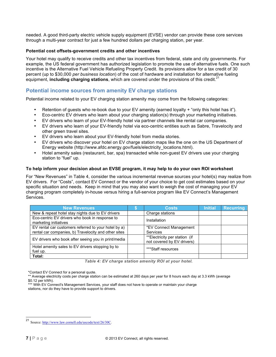needed. A good third-party electric vehicle supply equipment (EVSE) vendor can provide these core services through a multi-year contract for just a few hundred dollars per charging station, per year.

#### **Potential cost offsets-government credits and other incentives**

Your hotel may qualify to receive credits and other tax incentives from federal, state and city governments. For example, the US federal government has authorized legislation to promote the use of alternative fuels. One such incentive is the Alternative Fuel Vehicle Refueling Property Credit. Its provisions allow for a tax credit of 30 percent (up to \$30,000 *per business location*) of the cost of hardware and installation for alternative fueling equipment, **including charging stations**, which are covered under the provisions of this credit.<sup>21</sup>

### **Potential income sources from amenity EV charge stations**

Potential income related to your EV charging station amenity may come from the following categories:

- Retention of guests who re-book due to your EV amenity (earned loyalty + "only this hotel has it").
- Eco-centric EV drivers who learn about your charging station(s) through your marketing initiatives.
- EV drivers who learn of your EV-friendly hotel via partner channels like rental car companies.
- EV drivers who learn of your EV-friendly hotel via eco-centric entities such as Sabre, Travelocity and other green travel sites.
- EV drivers who learn about your EV-friendly hotel from media stories.
- EV drivers who discover your hotel on EV charge station maps like the one on the US Department of Energy website (http://www.afdc.energy.gov/fuels/electricity locations.html).
- Hotel amenity sales (restaurant, bar, spa) transacted while non-quest EV drivers use your charging station to "fuel" up.

#### **To help inform your decision about an EVSE program, it may help to do your own ROI worksheet**

For "New Revenues" in Table 4, consider the various incremental revenue sources your hotel(s) may realize from EV drivers. For "Costs", contact EV Connect or the vendor of your choice to get cost estimates based on your specific situation and needs. Keep in mind that you may also want to weigh the cost of managing your EV charging program completely in-house versus hiring a full-service program like EV Connect's Management Services.

| <b>New Revenues</b>                                                     | <b>Costs</b>                                                | <b>Initial</b> | <b>Recurring</b> |
|-------------------------------------------------------------------------|-------------------------------------------------------------|----------------|------------------|
| New & repeat hotel stay nights due to EV drivers                        | Charge stations                                             |                |                  |
| Eco-centric EV drivers who book in response to<br>marketing initiatives | Installation                                                |                |                  |
| EV rental car customers referred to your hotel by a)                    | *EV Connect Management                                      |                |                  |
| rental car companies, b) Travelocity and other sites                    | Services                                                    |                |                  |
| EV drivers who book after seeing you in print/media                     | **Electricity per station (if<br>not covered by EV drivers) |                |                  |
| Hotel amenity sales to EV drivers stopping by to<br>fuel up.            | ***Staff resources                                          |                |                  |
| Total:                                                                  |                                                             |                |                  |

*Table 4: EV charge station amenity ROI at your hotel.*

\*Contact EV Connect for a personal quote.

<sup>\*\*</sup> Average electricity costs per charge station can be estimated at 260 days per year for 8 hours each day at 3.3 kWh (average \$0.12 per kWh).

<sup>\*\*\*</sup> With EV Connect's Management Services, your staff does not have to operate or maintain your charge stations, nor do they have to provide support to drivers.

 <sup>21</sup> Source: http://www.law.cornell.edu/uscode/text/26/30C.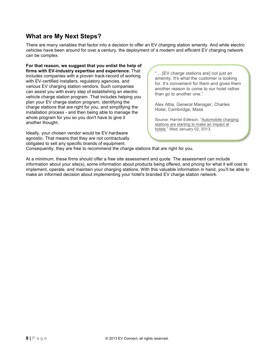## **What are My Next Steps?**

There are many variables that factor into a decision to offer an EV charging station amenity. And while electric vehicles have been around for over a century, the deployment of a modern and efficient EV charging network can be complex.

**For that reason, we suggest that you enlist the help of firms with EV-industry expertise and experience.** That includes companies with a proven track-record of working with EV-certified installers, regulatory agencies, and various EV charging station vendors. Such companies can assist you with every step of establishing an electric vehicle charge station program. That includes helping you plan your EV charge station program, identifying the charge stations that are right for you, and simplifying the installation process - and then being able to manage the whole program for you so you don't have to give it another thought.

Ideally, your chosen vendor would be EV-hardware agnostic. That means that they are not contractually obligated to sell any specific brands of equipment.

"… [EV charge stations are] not just an amenity. It's what the customer is looking for. It's convenient for them and gives them another reason to come to our hotel rather than go to another one."

Alex Attia, General Manager, Charles Hotel, Cambridge, Mass

Source: Harriet Edleson, "Automobile charging stations are starting to make an impact at hotels." Wed January 02, 2013.

Consequently, they are free to recommend the charge stations that are right for you.

At a minimum, these firms should offer a free site assessment and quote. The assessment can include information about your site(s), some information about products being offered, and pricing for what it will cost to implement, operate, and maintain your charging stations. With this valuable information in hand, you'll be able to make an informed decision about implementing your hotel's branded EV charge station network.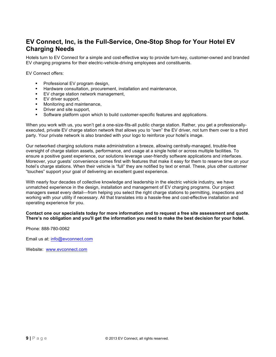## **EV Connect, Inc, is the Full-Service, One-Stop Shop for Your Hotel EV Charging Needs**

Hotels turn to EV Connect for a simple and cost-effective way to provide turn-key, customer-owned and branded EV charging programs for their electric-vehicle-driving employees and constituents.

EV Connect offers:

- § Professional EV program design,
- **Hardware consultation, procurement, installation and maintenance,**
- § EV charge station network management,
- EV driver support,
- Monitoring and maintenance,<br>■ Driver and site support
- Driver and site support,
- § Software platform upon which to build customer-specific features and applications.

When you work with us, you won't get a one-size-fits-all public charge station. Rather, you get a professionallyexecuted, private EV charge station network that allows you to "own" the EV driver, not turn them over to a third party. Your private network is also branded with your logo to reinforce your hotel's image.

Our networked charging solutions make administration a breeze, allowing centrally-managed, trouble-free oversight of charge station assets, performance, and usage at a single hotel or across multiple facilities. To ensure a positive guest experience, our solutions leverage user-friendly software applications and interfaces. Moreover, your guests' convenience comes first with features that make it easy for them to reserve time on your hotel's charge stations. When their vehicle is "full" they are notified by text or email. These, plus other customer "touches" support your goal of delivering an excellent guest experience.

With nearly four decades of collective knowledge and leadership in the electric vehicle industry, we have unmatched experience in the design, installation and management of EV charging programs. Our project managers sweat every detail—from helping you select the right charge stations to permitting, inspections and working with your utility if necessary. All that translates into a hassle-free and cost-effective installation and operating experience for you.

**Contact one our specialists today for more information and to request a free site assessment and quote. There's no obligation and you'll get the information you need to make the best decision for your hotel.** 

Phone: 888-780-0062

Email us at: info@evconnect.com

Website: www.evconnect.com